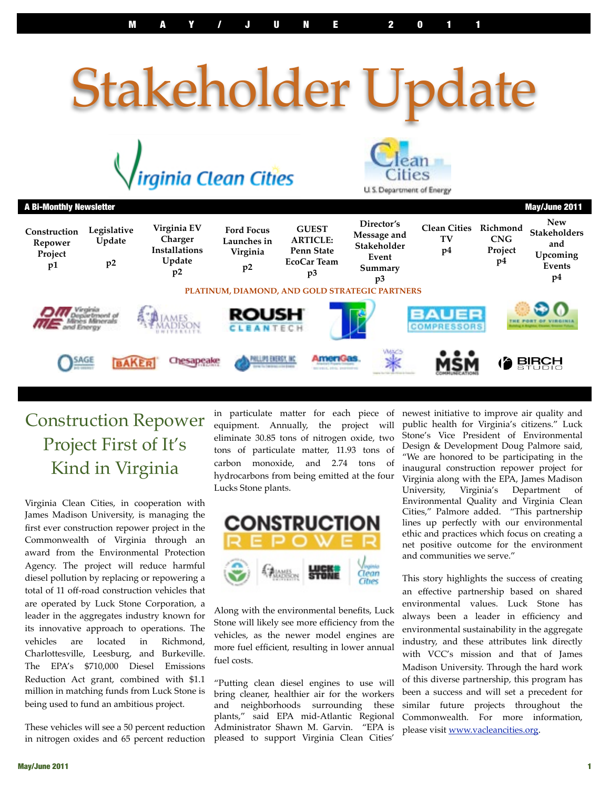# Stakeholder Update





| <b>A Bi-Monthly Newsletter</b><br>May/June 2011 |                             |                                                                |                                                    |                                                                           |                                                                    |                                             |                                         |                                                               |
|-------------------------------------------------|-----------------------------|----------------------------------------------------------------|----------------------------------------------------|---------------------------------------------------------------------------|--------------------------------------------------------------------|---------------------------------------------|-----------------------------------------|---------------------------------------------------------------|
| Construction<br>Repower<br>Project<br>p1        | Legislative<br>Update<br>p2 | Virginia EV<br>Charger<br><b>Installations</b><br>Update<br>p2 | <b>Ford Focus</b><br>Launches in<br>Virginia<br>p2 | <b>GUEST</b><br><b>ARTICLE:</b><br><b>Penn State</b><br>EcoCar Team<br>p3 | Director's<br>Message and<br>Stakeholder<br>Event<br>Summary<br>p3 | <b>Clean Cities</b><br>TV<br>p <sub>4</sub> | Richmond<br><b>CNG</b><br>Project<br>p4 | <b>New</b><br>Stakeholders<br>and<br>Upcoming<br>Events<br>p4 |
| PLATINUM, DIAMOND, AND GOLD STRATEGIC PARTNERS  |                             |                                                                |                                                    |                                                                           |                                                                    |                                             |                                         |                                                               |
| Despiertmont of<br>and Energy                   |                             | <b>ROUSH</b><br>CLEANTECH                                      |                                                    | F                                                                         | <b>BAUER</b><br><b>COMPRESSORS</b>                                 |                                             |                                         |                                                               |
|                                                 | SAGE<br><b>AKER</b>         | Chesapeake                                                     | PAILLIPS EXERCT, INC                               | AmeriGas.                                                                 | Maca<br>⋇                                                          |                                             |                                         | <b>BIRCH</b>                                                  |

# Construction Repower Project First of It's Kind in Virginia

Virginia Clean Cities, in cooperation with James Madison University, is managing the first ever construction repower project in the Commonwealth of Virginia through an award from the Environmental Protection Agency. The project will reduce harmful diesel pollution by replacing or repowering a total of 11 off-road construction vehicles that are operated by Luck Stone Corporation, a leader in the aggregates industry known for its innovative approach to operations. The vehicles are located in Richmond, Charlottesville, Leesburg, and Burkeville. The EPA's \$710,000 Diesel Emissions Reduction Act grant, combined with \$1.1 million in matching funds from Luck Stone is being used to fund an ambitious project.

These vehicles will see a 50 percent reduction in nitrogen oxides and 65 percent reduction in particulate matter for each piece of equipment. Annually, the project will eliminate 30.85 tons of nitrogen oxide, two tons of particulate matter, 11.93 tons of carbon monoxide, and 2.74 tons of hydrocarbons from being emitted at the four Lucks Stone plants.



Along with the environmental benefits, Luck Stone will likely see more efficiency from the vehicles, as the newer model engines are more fuel efficient, resulting in lower annual fuel costs.

"Putting clean diesel engines to use will bring cleaner, healthier air for the workers and neighborhoods surrounding these plants," said EPA mid-Atlantic Regional Administrator Shawn M. Garvin. "EPA is pleased to support Virginia Clean Cities'

newest initiative to improve air quality and public health for Virginia's citizens." Luck Stone's Vice President of Environmental Design & Development Doug Palmore said, "We are honored to be participating in the inaugural construction repower project for Virginia along with the EPA, James Madison University, Virginia's Department of Environmental Quality and Virginia Clean Cities," Palmore added. "This partnership lines up perfectly with our environmental ethic and practices which focus on creating a net positive outcome for the environment and communities we serve."

This story highlights the success of creating an effective partnership based on shared environmental values. Luck Stone has always been a leader in efficiency and environmental sustainability in the aggregate industry, and these attributes link directly with VCC's mission and that of James Madison University. Through the hard work of this diverse partnership, this program has been a success and will set a precedent for similar future projects throughout the Commonwealth. For more information, please visit [www.vacleancities.org.](http://www.vacleancities.org)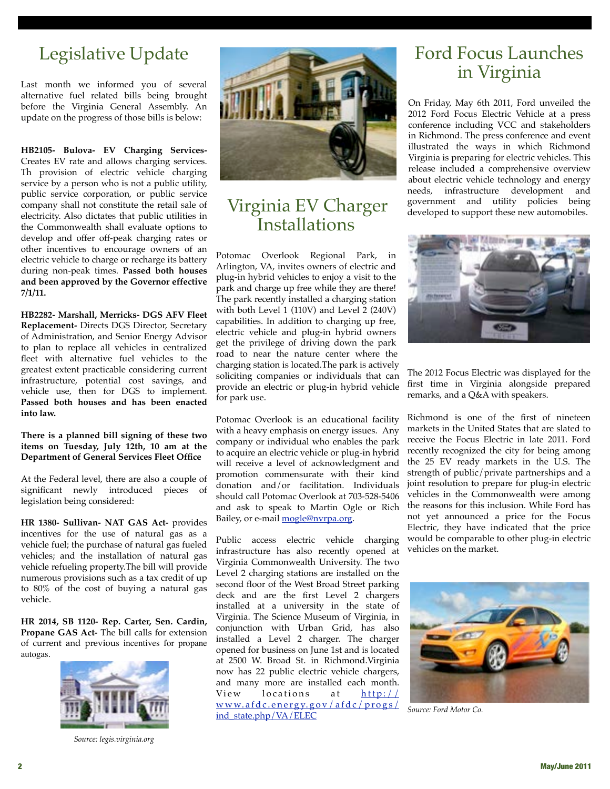# Legislative Update

Last month we informed you of several alternative fuel related bills being brought before the Virginia General Assembly. An update on the progress of those bills is below:

**HB2105- Bulova- EV Charging Services-**Creates EV rate and allows charging services. Th provision of electric vehicle charging service by a person who is not a public utility, public service corporation, or public service company shall not constitute the retail sale of electricity. Also dictates that public utilities in the Commonwealth shall evaluate options to develop and offer off-peak charging rates or other incentives to encourage owners of an electric vehicle to charge or recharge its battery during non-peak times. **Passed both houses and been approved by the Governor effective 7/1/11.**

**HB2282- Marshall, Merricks- DGS AFV Fleet Replacement-** Directs DGS Director, Secretary of Administration, and Senior Energy Advisor to plan to replace all vehicles in centralized fleet with alternative fuel vehicles to the greatest extent practicable considering current infrastructure, potential cost savings, and vehicle use, then for DGS to implement. **Passed both houses and has been enacted into law.**

**There is a planned bill signing of these two items on Tuesday, July 12th, 10 am at the Department of General Services Fleet Office**

At the Federal level, there are also a couple of significant newly introduced pieces of legislation being considered:

**HR 1380- Sullivan- NAT GAS Act-** provides incentives for the use of natural gas as a vehicle fuel; the purchase of natural gas fueled vehicles; and the installation of natural gas vehicle refueling property.The bill will provide numerous provisions such as a tax credit of up to 80% of the cost of buying a natural gas vehicle.

**HR 2014, SB 1120- Rep. Carter, Sen. Cardin, Propane GAS Act-** The bill calls for extension of current and previous incentives for propane autogas.



*Source: legis.virginia.org*



#### Virginia EV Charger Installations

Potomac Overlook Regional Park, in Arlington, VA, invites owners of electric and plug-in hybrid vehicles to enjoy a visit to the park and charge up free while they are there! The park recently installed a charging station with both Level 1 (110V) and Level 2 (240V) capabilities. In addition to charging up free, electric vehicle and plug-in hybrid owners get the privilege of driving down the park road to near the nature center where the charging station is located.The park is actively soliciting companies or individuals that can provide an electric or plug-in hybrid vehicle for park use.

Potomac Overlook is an educational facility with a heavy emphasis on energy issues. Any company or individual who enables the park to acquire an electric vehicle or plug-in hybrid will receive a level of acknowledgment and promotion commensurate with their kind donation and/or facilitation. Individuals should call Potomac Overlook at 703-528-5406 and ask to speak to Martin Ogle or Rich Bailey, or e-mail [mogle@nvrpa.org.](http://www.virginiaev.org/mogle@nvrpa.org)

Public access electric vehicle charging infrastructure has also recently opened at Virginia Commonwealth University. The two Level 2 charging stations are installed on the second floor of the West Broad Street parking deck and are the first Level 2 chargers installed at a university in the state of Virginia. The Science Museum of Virginia, in conjunction with Urban Grid, has also installed a Level 2 charger. The charger opened for business on June 1st and is located at 2500 W. Broad St. in Richmond.Virginia now has 22 public electric vehicle chargers, and many more are installed each month. View locations at [http://](http://www.afdc.energy.gov/afdc/progs/ind_state.php/VA/ELEC) [www.afdc.energy.gov/afdc/progs/](http://www.afdc.energy.gov/afdc/progs/ind_state.php/VA/ELEC) [ind\\_state.php/VA/ELEC](http://www.afdc.energy.gov/afdc/progs/ind_state.php/VA/ELEC)

### Ford Focus Launches in Virginia

On Friday, May 6th 2011, Ford unveiled the 2012 Ford Focus Electric Vehicle at a press conference including VCC and stakeholders in Richmond. The press conference and event illustrated the ways in which Richmond Virginia is preparing for electric vehicles. This release included a comprehensive overview about electric vehicle technology and energy needs, infrastructure development and government and utility policies being developed to support these new automobiles.



The 2012 Focus Electric was displayed for the first time in Virginia alongside prepared remarks, and a Q&A with speakers.

Richmond is one of the first of nineteen markets in the United States that are slated to receive the Focus Electric in late 2011. Ford recently recognized the city for being among the 25 EV ready markets in the U.S. The strength of public/private partnerships and a joint resolution to prepare for plug-in electric vehicles in the Commonwealth were among the reasons for this inclusion. While Ford has not yet announced a price for the Focus Electric, they have indicated that the price would be comparable to other plug-in electric vehicles on the market.



*Source: Ford Motor Co.*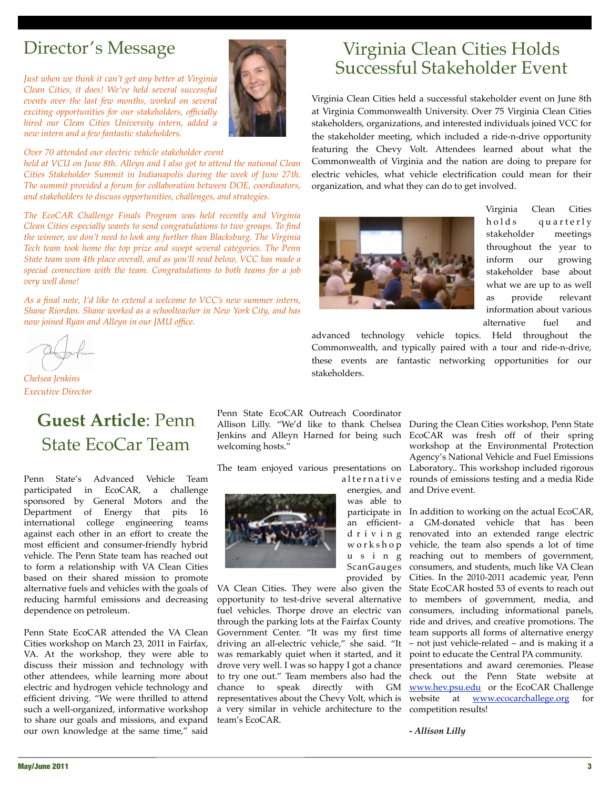# Director's Message

*Just when we think it can't get any better at Virginia Clean Cities, it does! We've held several successful events over the last few months, worked on several exciting opportunities for our stakeholders, officially hired our Clean Cities University intern, added a new intern and a few fantastic stakeholders.* 



#### *Over 70 attended our electric vehicle stakeholder event*

*held at VCU on June 8th. Alleyn and I also got to attend the national Clean Cities Stakeholder Summit in Indianapolis during the week of June 27th. The summit provided a forum for collaboration between DOE, coordinators, and stakeholders to discuss opportunities, challenges, and strategies.* 

*The EcoCAR Challenge Finals Program was held recently and Virginia Clean Cities especially wants to send congratulations to two groups. To find the winner, we don't need to look any further than Blacksburg. The Virginia Tech team took home the top prize and swept several categories. The Penn State team won 4th place overall, and as you'll read below, VCC has made a special connection with the team. Congratulations to both teams for a job very well done!* 

*As a final note, I'd like to extend a welcome to VCC's new summer intern, Shane Riordan. Shane worked as a schoolteacher in New York City, and has now joined Ryan and Alleyn in our JMU office.*

*Chelsea Jenkins Executive Director*

# **Guest Article**: Penn State EcoCar Team

Penn State's Advanced Vehicle Team participated in EcoCAR, a challenge sponsored by General Motors and the Department of Energy that pits 16 international college engineering teams against each other in an effort to create the most efficient and consumer-friendly hybrid vehicle. The Penn State team has reached out to form a relationship with VA Clean Cities based on their shared mission to promote alternative fuels and vehicles with the goals of reducing harmful emissions and decreasing dependence on petroleum.

Penn State EcoCAR attended the VA Clean Cities workshop on March 23, 2011 in Fairfax, VA. At the workshop, they were able to discuss their mission and technology with other attendees, while learning more about electric and hydrogen vehicle technology and efficient driving. "We were thrilled to attend such a well-organized, informative workshop to share our goals and missions, and expand our own knowledge at the same time," said

Penn State EcoCAR Outreach Coordinator welcoming hosts."

The team enjoyed various presentations on



a l t e r n a t i v e was able to ScanGauges provided by

through the parking lots at the Fairfax County Government Center. "It was my first time driving an all-electric vehicle," she said. "It was remarkably quiet when it started, and it drove very well. I was so happy I got a chance to try one out." Team members also had the chance to speak directly with GM representatives about the Chevy Volt, which is a very similar in vehicle architecture to the team's EcoCAR.

# Virginia Clean Cities Holds Successful Stakeholder Event

Virginia Clean Cities held a successful stakeholder event on June 8th at Virginia Commonwealth University. Over 75 Virginia Clean Cities stakeholders, organizations, and interested individuals joined VCC for the stakeholder meeting, which included a ride-n-drive opportunity featuring the Chevy Volt. Attendees learned about what the Commonwealth of Virginia and the nation are doing to prepare for electric vehicles, what vehicle electrification could mean for their organization, and what they can do to get involved.



Virginia Clean Cities holds quarterly stakeholder meetings throughout the year to inform our growing stakeholder base about what we are up to as well as provide relevant information about various alternative fuel and

advanced technology vehicle topics. Held throughout the Commonwealth, and typically paired with a tour and ride-n-drive, these events are fantastic networking opportunities for our stakeholders.

Allison Lilly. "We'd like to thank Chelsea During the Clean Cities workshop, Penn State Jenkins and Alleyn Harned for being such EcoCAR was fresh off of their spring energies, and and Drive event. workshop at the Environmental Protection Agency's National Vehicle and Fuel Emissions Laboratory.. This workshop included rigorous rounds of emissions testing and a media Ride

participate in In addition to working on the actual EcoCAR, an efficient-a GM-donated vehicle that has been d r i v i n g renovated into an extended range electric w o r k s h o p vehicle, the team also spends a lot of time u s i n g reaching out to members of government, VA Clean Cities. They were also given the State EcoCAR hosted 53 of events to reach out opportunity to test-drive several alternative to members of government, media, and fuel vehicles. Thorpe drove an electric van consumers, including informational panels, consumers, and students, much like VA Clean Cities. In the 2010-2011 academic year, Penn ride and drives, and creative promotions. The team supports all forms of alternative energy – not just vehicle-related – and is making it a point to educate the Central PA community. presentations and award ceremonies. Please

check out the Penn State website at [www.hev.psu.edu](http://www.hev.psu.edu) or the EcoCAR Challenge website at **[www.ecocarchallege.org](http://www.ecocarchallege.org)** for competition results!

**-** *Allison Lilly*